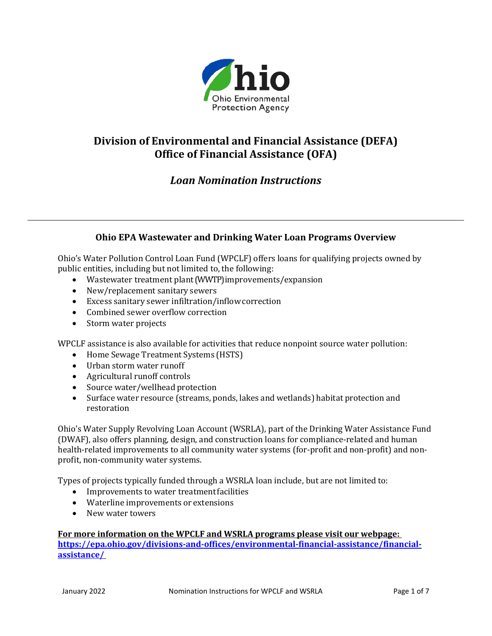

# **Division of Environmental and Financial Assistance (DEFA) Office of Financial Assistance (OFA)**

# *Loan Nomination Instructions*

## **Ohio EPA Wastewater and Drinking Water Loan Programs Overview**

Ohio's Water Pollution Control Loan Fund (WPCLF) offers loans for qualifying projects owned by public entities, including but not limited to, the following:

- Wastewater treatment plant(WWTP) improvements/expansion
- New/replacement sanitary sewers
- Excess sanitary sewer infiltration/inflowcorrection
- Combined sewer overflow correction
- Storm water projects

WPCLF assistance is also available for activities that reduce nonpoint source water pollution:

- Home Sewage Treatment Systems (HSTS)
- Urban storm water runoff
- Agricultural runoff controls
- Source water/wellhead protection
- Surface water resource (streams, ponds, lakes and wetlands) habitat protection and restoration

Ohio's Water Supply Revolving Loan Account (WSRLA), part of the Drinking Water Assistance Fund (DWAF), also offers planning, design, and construction loans for compliance-related and human health-related improvements to all community water systems (for-profit and non-profit) and nonprofit, non-community water systems.

Types of projects typically funded through a WSRLA loan include, but are not limited to:

- Improvements to water treatment facilities
- Waterline improvements or extensions
- New water towers

#### **For more information on the WPCLF and WSRLA programs please visit our webpage:**

**[https://epa.ohio.gov/divisions-and-offices/environmental-financial-assistance/financial](https://epa.ohio.gov/divisions-and-offices/environmental-financial-assistance/financial-assistance/)[assistance/](https://epa.ohio.gov/divisions-and-offices/environmental-financial-assistance/financial-assistance/)**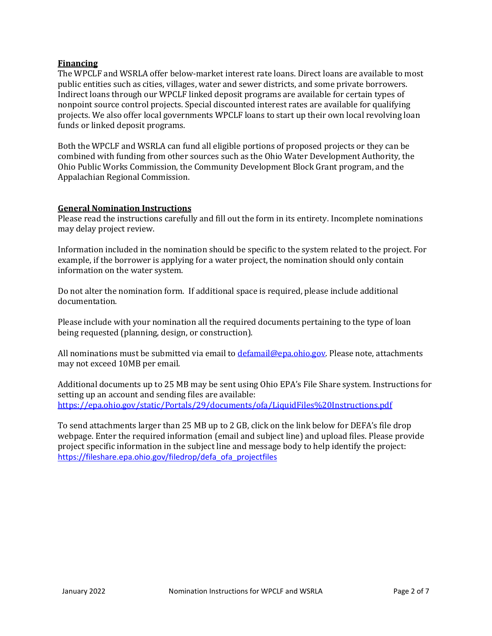## **Financing**

The WPCLF and WSRLA offer below-market interest rate loans. Direct loans are available to most public entities such as cities, villages, water and sewer districts, and some private borrowers. Indirect loans through our WPCLF linked deposit programs are available for certain types of nonpoint source control projects. Special discounted interest rates are available for qualifying projects. We also offer local governments WPCLF loans to start up their own local revolving loan funds or linked deposit programs.

Both the WPCLF and WSRLA can fund all eligible portions of proposed projects or they can be combined with funding from other sources such as the Ohio Water Development Authority, the Ohio Public Works Commission, the Community Development Block Grant program, and the Appalachian Regional Commission.

## **General Nomination Instructions**

Please read the instructions carefully and fill out the form in its entirety. Incomplete nominations may delay project review.

Information included in the nomination should be specific to the system related to the project. For example, if the borrower is applying for a water project, the nomination should only contain information on the water system.

Do not alter the nomination form. If additional space is required, please include additional documentation.

Please include with your nomination all the required documents pertaining to the type of loan being requested (planning, design, or construction).

All nominations must be submitted via email to *defamail@epa.ohio.gov*. Please note, attachments may not exceed 10MB per email.

Additional documents up to 25 MB may be sent using Ohio EPA's File Share system. Instructions for setting up an account and sending files are available: <https://epa.ohio.gov/static/Portals/29/documents/ofa/LiquidFiles%20Instructions.pdf>

To send attachments larger than 25 MB up to 2 GB, click on the link below for DEFA's file drop webpage. Enter the required information (email and subject line) and upload files. Please provide project specific information in the subject line and message body to help identify the project: [https://fileshare.epa.ohio.gov/filedrop/defa\\_ofa\\_projectfiles](https://gcc02.safelinks.protection.outlook.com/?url=https%3A%2F%2Ffileshare.epa.ohio.gov%2Ffiledrop%2Fdefa_ofa_projectfiles&data=04%7C01%7CKathleen.Courtright%40epa.ohio.gov%7Cdcacffbd84cb4ef84b5308d9e28fb562%7C50f8fcc494d84f0784eb36ed57c7c8a2%7C0%7C0%7C637789929108252630%7CUnknown%7CTWFpbGZsb3d8eyJWIjoiMC4wLjAwMDAiLCJQIjoiV2luMzIiLCJBTiI6Ik1haWwiLCJXVCI6Mn0%3D%7C3000&sdata=uGDXygEM%2BONe5YKM1f40amWnpCLqgl7UtP6mhmVOHu4%3D&reserved=0)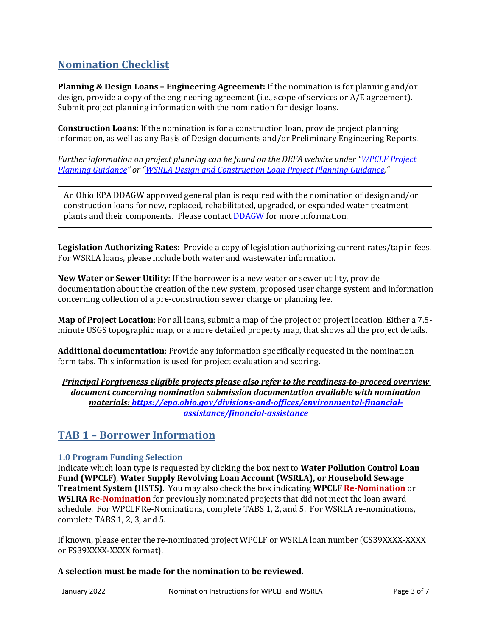# **Nomination Checklist**

**Planning & Design Loans – Engineering Agreement:** If the nomination is for planning and/or design, provide a copy of the engineering agreement (i.e., scope of services or A/E agreement). Submit project planning information with the nomination for design loans.

**Construction Loans:** If the nomination is for a construction loan, provide project planning information, as well as any Basis of Design documents and/or Preliminary Engineering Reports.

*Further information on project planning can be found on the DEFA website under ["WPCLF Project](https://epa.ohio.gov/static/Portals/29/documents/ofa/WPCLF-Project-Planning-Guidance.pdf?ver=2019-11-06-101934-933)  [Planning Guidance"](https://epa.ohio.gov/static/Portals/29/documents/ofa/WPCLF-Project-Planning-Guidance.pdf?ver=2019-11-06-101934-933) or ["WSRLA Design and Construction Loan Project Planning Guidance."](https://epa.ohio.gov/static/Portals/28/documents/dwaf/4_WSRLA_PPD_GP.pdf)*

An Ohio EPA DDAGW approved general plan is required with the nomination of design and/or construction loans for new, replaced, rehabilitated, upgraded, or expanded water treatment plants and their components. Please contact **DDAGW** for more information.

**Legislation Authorizing Rates**: Provide a copy of legislation authorizing current rates/tap in fees. For WSRLA loans, please include both water and wastewater information.

**New Water or Sewer Utility**: If the borrower is a new water or sewer utility, provide documentation about the creation of the new system, proposed user charge system and information concerning collection of a pre-construction sewer charge or planning fee.

**Map of Project Location**: For all loans, submit a map of the project or project location. Either a 7.5 minute USGS topographic map, or a more detailed property map, that shows all the project details.

**Additional documentation**: Provide any information specifically requested in the nomination form tabs. This information is used for project evaluation and scoring.

*Principal Forgiveness eligible projects please also refer to the readiness-to-proceed overview document concerning nomination submission documentation available with nomination materials: [https://epa.ohio.gov/divisions-and-offices/environmental-financial](https://epa.ohio.gov/divisions-and-offices/environmental-financial-assistance/financial-assistance)[assistance/financial-assistance](https://epa.ohio.gov/divisions-and-offices/environmental-financial-assistance/financial-assistance)*

## **TAB 1 – Borrower Information**

## **1.0 Program Funding Selection**

Indicate which loan type is requested by clicking the box next to **Water Pollution Control Loan Fund (WPCLF)**, **Water Supply Revolving Loan Account (WSRLA), or Household Sewage Treatment System (HSTS)**. You may also check the box indicating **WPCLF Re-Nomination** or **WSLRA Re-Nomination** for previously nominated projects that did not meet the loan award schedule. For WPCLF Re-Nominations, complete TABS 1, 2, and 5. For WSRLA re-nominations, complete TABS 1, 2, 3, and 5.

If known, please enter the re-nominated project WPCLF or WSRLA loan number (CS39XXXX-XXXX or FS39XXXX-XXXX format).

## **A selection must be made for the nomination to be reviewed.**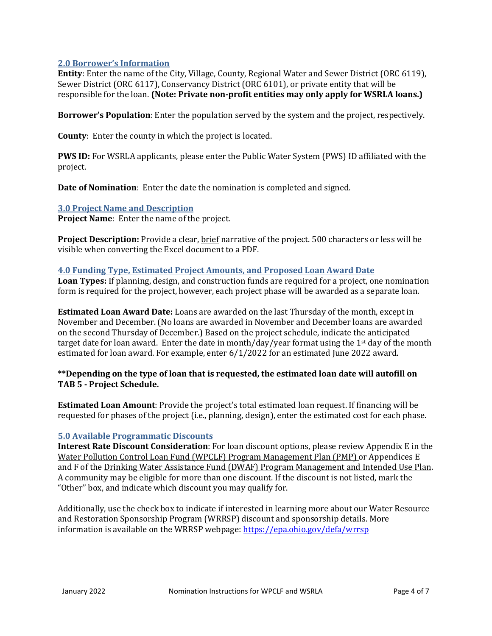## **2.0 Borrower's Information**

**Entity**: Enter the name of the City, Village, County, Regional Water and Sewer District (ORC 6119), Sewer District (ORC 6117), Conservancy District (ORC 6101), or private entity that will be responsible for the loan. **(Note: Private non-profit entities may only apply for WSRLA loans.)**

**Borrower's Population**: Enter the population served by the system and the project, respectively.

**County**: Enter the county in which the project is located.

**PWS ID:** For WSRLA applicants, please enter the Public Water System (PWS) ID affiliated with the project.

**Date of Nomination**: Enter the date the nomination is completed and signed.

## **3.0 Project Name and Description**

**Project Name**: Enter the name of the project.

**Project Description:** Provide a clear, brief narrative of the project. 500 characters or less will be visible when converting the Excel document to a PDF.

#### **4.0 Funding Type, Estimated Project Amounts, and Proposed Loan Award Date**

**Loan Types:** If planning, design, and construction funds are required for a project, one nomination form is required for the project, however, each project phase will be awarded as a separate loan.

**Estimated Loan Award Date:** Loans are awarded on the last Thursday of the month, except in November and December. (No loans are awarded in November and December loans are awarded on the second Thursday of December.) Based on the project schedule, indicate the anticipated target date for loan award. Enter the date in month/day/year format using the 1<sup>st</sup> day of the month estimated for loan award. For example, enter 6/1/2022 for an estimated June 2022 award.

## **\*\*Depending on the type of loan that is requested, the estimated loan date will autofill on TAB 5 - Project Schedule.**

**Estimated Loan Amount**: Provide the project's total estimated loan request. If financing will be requested for phases of the project (i.e., planning, design), enter the estimated cost for each phase.

## **5.0 Available Programmatic Discounts**

**Interest Rate Discount Consideration**: For loan discount options, please review Appendix E in the Water Pollution Control Loan Fund (WPCLF) Program Management Plan (PMP) or Appendices E and F of the Drinking Water Assistance Fund (DWAF) Program Management and Intended Use Plan. A community may be eligible for more than one discount. If the discount is not listed, mark the "Other" box, and indicate which discount you may qualify for.

Additionally, use the check box to indicate if interested in learning more about our Water Resource and Restoration Sponsorship Program (WRRSP) discount and sponsorship details. More information is available on the WRRSP webpage[: https://epa.ohio.gov/defa/wrrsp](https://epa.ohio.gov/defa/wrrsp)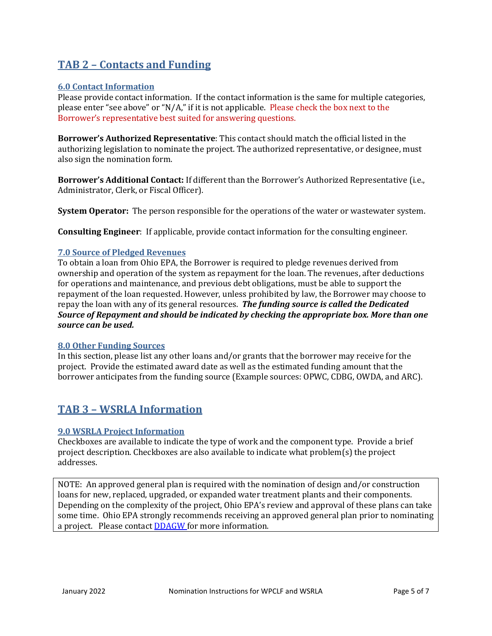# **TAB 2 – Contacts and Funding**

## **6.0 Contact Information**

Please provide contact information. If the contact information is the same for multiple categories, please enter "see above" or "N/A," if it is not applicable. Please check the box next to the Borrower's representative best suited for answering questions.

**Borrower's Authorized Representative**: This contact should match the official listed in the authorizing legislation to nominate the project. The authorized representative, or designee, must also sign the nomination form.

**Borrower's Additional Contact:** If different than the Borrower's Authorized Representative (i.e., Administrator, Clerk, or Fiscal Officer).

**System Operator:** The person responsible for the operations of the water or wastewater system.

**Consulting Engineer**: If applicable, provide contact information for the consulting engineer.

## **7.0 Source of Pledged Revenues**

To obtain a loan from Ohio EPA, the Borrower is required to pledge revenues derived from ownership and operation of the system as repayment for the loan. The revenues, after deductions for operations and maintenance, and previous debt obligations, must be able to support the repayment of the loan requested. However, unless prohibited by law, the Borrower may choose to repay the loan with any of its general resources. *The funding source is called the Dedicated Source of Repayment and should be indicated by checking the appropriate box. More than one source can be used.*

#### **8.0 Other Funding Sources**

In this section, please list any other loans and/or grants that the borrower may receive for the project. Provide the estimated award date as well as the estimated funding amount that the borrower anticipates from the funding source (Example sources: OPWC, CDBG, OWDA, and ARC).

## **TAB 3 – WSRLA Information**

## **9.0 WSRLA Project Information**

Checkboxes are available to indicate the type of work and the component type. Provide a brief project description. Checkboxes are also available to indicate what problem(s) the project addresses.

NOTE: An approved general plan is required with the nomination of design and/or construction loans for new, replaced, upgraded, or expanded water treatment plants and their components. Depending on the complexity of the project, Ohio EPA's review and approval of these plans can take some time. Ohio EPA strongly recommends receiving an approved general plan prior to nominating a project. Please contact **DDAGW** for more information.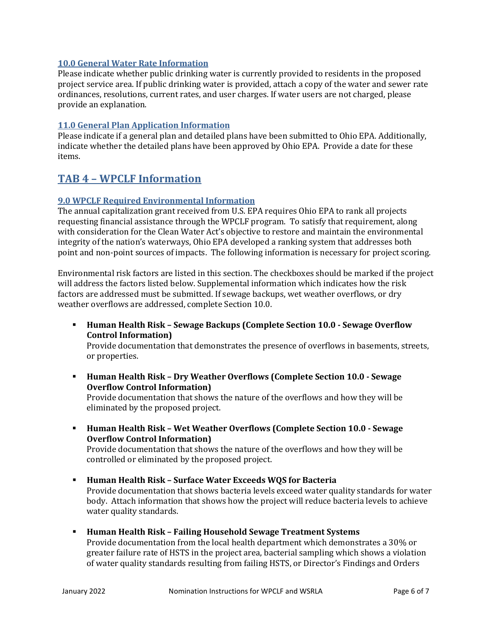## **10.0 General Water Rate Information**

Please indicate whether public drinking water is currently provided to residents in the proposed project service area. If public drinking water is provided, attach a copy of the water and sewer rate ordinances, resolutions, current rates, and user charges. If water users are not charged, please provide an explanation.

## **11.0 General Plan Application Information**

Please indicate if a general plan and detailed plans have been submitted to Ohio EPA. Additionally, indicate whether the detailed plans have been approved by Ohio EPA. Provide a date for these items.

## **TAB 4 – WPCLF Information**

## **9.0 WPCLF Required Environmental Information**

The annual capitalization grant received from U.S. EPA requires Ohio EPA to rank all projects requesting financial assistance through the WPCLF program. To satisfy that requirement, along with consideration for the Clean Water Act's objective to restore and maintain the environmental integrity of the nation's waterways, Ohio EPA developed a ranking system that addresses both point and non-point sources of impacts. The following information is necessary for project scoring.

Environmental risk factors are listed in this section. The checkboxes should be marked if the project will address the factors listed below. Supplemental information which indicates how the risk factors are addressed must be submitted. If sewage backups, wet weather overflows, or dry weather overflows are addressed, complete Section 10.0.

 **Human Health Risk – Sewage Backups (Complete Section 10.0 - Sewage Overflow Control Information)**

Provide documentation that demonstrates the presence of overflows in basements, streets, or properties.

 **Human Health Risk – Dry Weather Overflows (Complete Section 10.0 - Sewage Overflow Control Information)**

Provide documentation that shows the nature of the overflows and how they will be eliminated by the proposed project.

- **Human Health Risk – Wet Weather Overflows (Complete Section 10.0 - Sewage Overflow Control Information)** Provide documentation that shows the nature of the overflows and how they will be controlled or eliminated by the proposed project.
- **Human Health Risk – Surface Water Exceeds WQS for Bacteria** Provide documentation that shows bacteria levels exceed water quality standards for water body. Attach information that shows how the project will reduce bacteria levels to achieve water quality standards.
- **Human Health Risk – Failing Household Sewage Treatment Systems** Provide documentation from the local health department which demonstrates a 30% or greater failure rate of HSTS in the project area, bacterial sampling which shows a violation of water quality standards resulting from failing HSTS, or Director's Findings and Orders